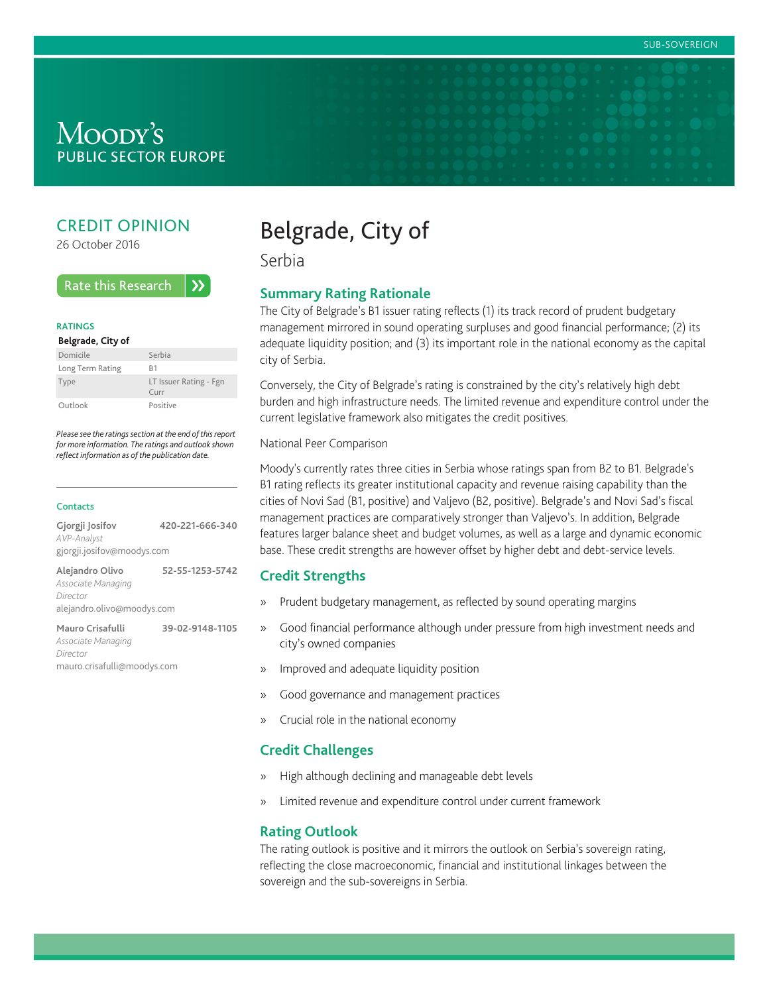# Moody's **PUBLIC SECTOR EUROPE**

## CREDIT OPINION

26 October 2016

#### **Rate this Research**  $\lambda$

#### **RATINGS**

#### **Belgrade, City of**

| Domicile         | Serbia                                           |
|------------------|--------------------------------------------------|
| Long Term Rating | R1                                               |
| Type             | LT Issuer Rating - Fgn<br>$C$ <sub>III</sub> $r$ |
| Outlook          | Positive                                         |

*Please see the ratings section at the end of this report for more information. The ratings and outlook shown reflect information as of the publication date.*

#### **Contacts**

| Gjorgji Josifov            | 420-221-666-340 |
|----------------------------|-----------------|
| AVP-Analyst                |                 |
| gjorgji.josifov@moodys.com |                 |
| Alejandro Olivo            | 52-55-1253-5742 |
| Associate Managing         |                 |
| Director                   |                 |
| alejandro.olivo@moodys.com |                 |
| Mauro Crisafulli           | 39-02-9148-1105 |

*Associate Managing Director* mauro.crisafulli@moodys.com

# Belgrade, City of

Serbia

### **Summary Rating Rationale**

The City of Belgrade's B1 issuer rating reflects (1) its track record of prudent budgetary management mirrored in sound operating surpluses and good financial performance; (2) its adequate liquidity position; and (3) its important role in the national economy as the capital city of Serbia.

Conversely, the City of Belgrade's rating is constrained by the city's relatively high debt burden and high infrastructure needs. The limited revenue and expenditure control under the current legislative framework also mitigates the credit positives.

#### National Peer Comparison

Moody's currently rates three cities in Serbia whose ratings span from B2 to B1. Belgrade's B1 rating reflects its greater institutional capacity and revenue raising capability than the cities of Novi Sad (B1, positive) and Valjevo (B2, positive). Belgrade's and Novi Sad's fiscal management practices are comparatively stronger than Valjevo's. In addition, Belgrade features larger balance sheet and budget volumes, as well as a large and dynamic economic base. These credit strengths are however offset by higher debt and debt-service levels.

### **Credit Strengths**

- » Prudent budgetary management, as reflected by sound operating margins
- » Good financial performance although under pressure from high investment needs and city's owned companies
- » Improved and adequate liquidity position
- » Good governance and management practices
- » Crucial role in the national economy

#### **Credit Challenges**

- » High although declining and manageable debt levels
- » Limited revenue and expenditure control under current framework

### **Rating Outlook**

The rating outlook is positive and it mirrors the outlook on Serbia's sovereign rating, reflecting the close macroeconomic, financial and institutional linkages between the sovereign and the sub-sovereigns in Serbia.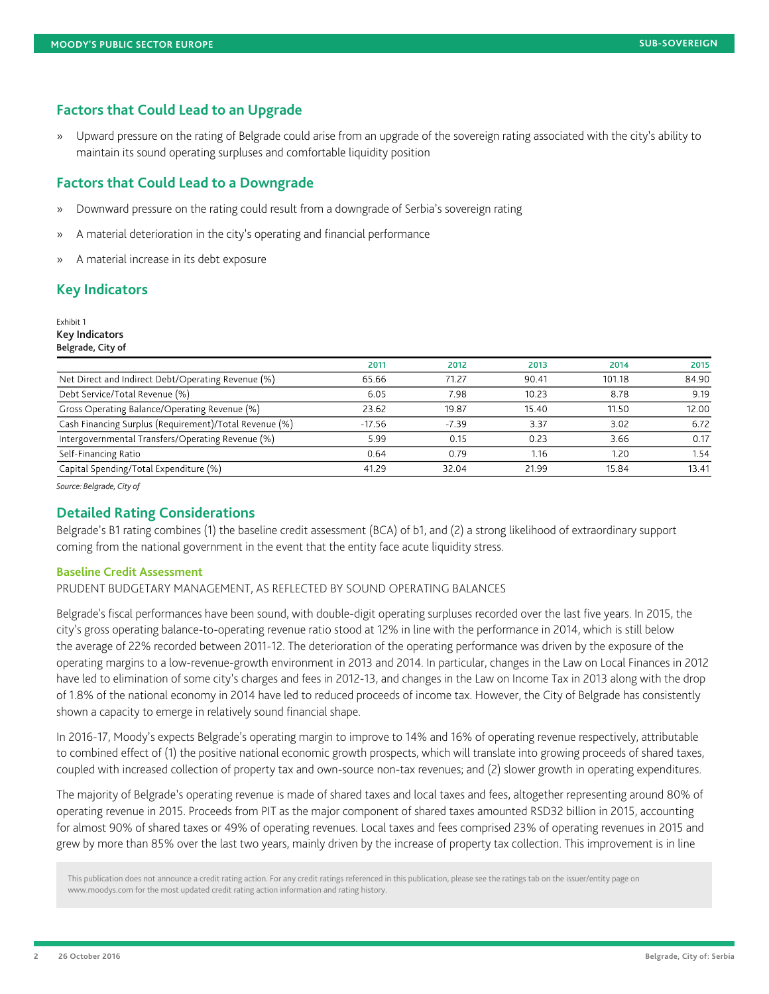## **Factors that Could Lead to an Upgrade**

» Upward pressure on the rating of Belgrade could arise from an upgrade of the sovereign rating associated with the city's ability to maintain its sound operating surpluses and comfortable liquidity position

### **Factors that Could Lead to a Downgrade**

- » Downward pressure on the rating could result from a downgrade of Serbia's sovereign rating
- » A material deterioration in the city's operating and financial performance
- » A material increase in its debt exposure

## **Key Indicators**

Exhibit 1 Key Indicators Belgrade, City of

|                                                        | 2011     | 2012    | 2013  | 2014   | 2015  |
|--------------------------------------------------------|----------|---------|-------|--------|-------|
| Net Direct and Indirect Debt/Operating Revenue (%)     | 65.66    | 71.27   | 90.41 | 101.18 | 84.90 |
| Debt Service/Total Revenue (%)                         | 6.05     | 7.98    | 10.23 | 8.78   | 9.19  |
| Gross Operating Balance/Operating Revenue (%)          | 23.62    | 19.87   | 15.40 | 11.50  | 12.00 |
| Cash Financing Surplus (Requirement)/Total Revenue (%) | $-17.56$ | $-7.39$ | 3.37  | 3.02   | 6.72  |
| Intergovernmental Transfers/Operating Revenue (%)      | 5.99     | 0.15    | 0.23  | 3.66   | 0.17  |
| Self-Financing Ratio                                   | 0.64     | 0.79    | 1.16  | 1.20   | 1.54  |
| Capital Spending/Total Expenditure (%)                 | 41.29    | 32.04   | 21.99 | 15.84  | 13.41 |

*Source: Belgrade, City of*

### **Detailed Rating Considerations**

Belgrade's B1 rating combines (1) the baseline credit assessment (BCA) of b1, and (2) a strong likelihood of extraordinary support coming from the national government in the event that the entity face acute liquidity stress.

#### **Baseline Credit Assessment**

PRUDENT BUDGETARY MANAGEMENT, AS REFLECTED BY SOUND OPERATING BALANCES

Belgrade's fiscal performances have been sound, with double-digit operating surpluses recorded over the last five years. In 2015, the city's gross operating balance-to-operating revenue ratio stood at 12% in line with the performance in 2014, which is still below the average of 22% recorded between 2011-12. The deterioration of the operating performance was driven by the exposure of the operating margins to a low-revenue-growth environment in 2013 and 2014. In particular, changes in the Law on Local Finances in 2012 have led to elimination of some city's charges and fees in 2012-13, and changes in the Law on Income Tax in 2013 along with the drop of 1.8% of the national economy in 2014 have led to reduced proceeds of income tax. However, the City of Belgrade has consistently shown a capacity to emerge in relatively sound financial shape.

In 2016-17, Moody's expects Belgrade's operating margin to improve to 14% and 16% of operating revenue respectively, attributable to combined effect of (1) the positive national economic growth prospects, which will translate into growing proceeds of shared taxes, coupled with increased collection of property tax and own-source non-tax revenues; and (2) slower growth in operating expenditures.

The majority of Belgrade's operating revenue is made of shared taxes and local taxes and fees, altogether representing around 80% of operating revenue in 2015. Proceeds from PIT as the major component of shared taxes amounted RSD32 billion in 2015, accounting for almost 90% of shared taxes or 49% of operating revenues. Local taxes and fees comprised 23% of operating revenues in 2015 and grew by more than 85% over the last two years, mainly driven by the increase of property tax collection. This improvement is in line

This publication does not announce a credit rating action. For any credit ratings referenced in this publication, please see the ratings tab on the issuer/entity page on www.moodys.com for the most updated credit rating action information and rating history.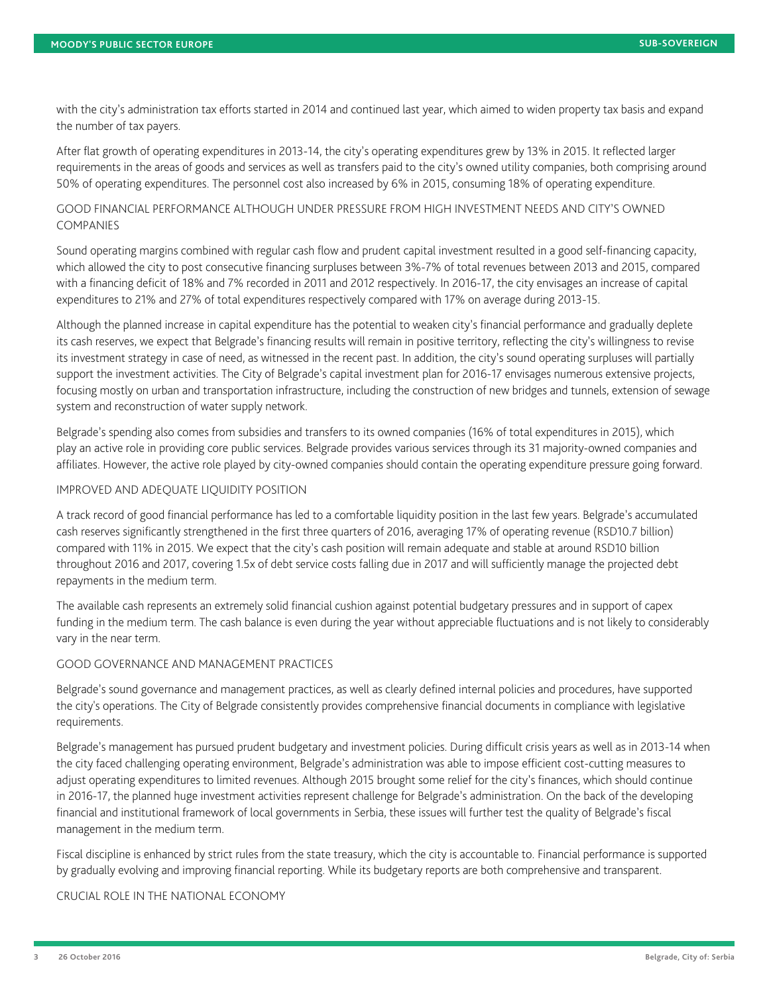with the city's administration tax efforts started in 2014 and continued last year, which aimed to widen property tax basis and expand the number of tax payers.

After flat growth of operating expenditures in 2013-14, the city's operating expenditures grew by 13% in 2015. It reflected larger requirements in the areas of goods and services as well as transfers paid to the city's owned utility companies, both comprising around 50% of operating expenditures. The personnel cost also increased by 6% in 2015, consuming 18% of operating expenditure.

## GOOD FINANCIAL PERFORMANCE ALTHOUGH UNDER PRESSURE FROM HIGH INVESTMENT NEEDS AND CITY'S OWNED COMPANIES

Sound operating margins combined with regular cash flow and prudent capital investment resulted in a good self-financing capacity, which allowed the city to post consecutive financing surpluses between 3%-7% of total revenues between 2013 and 2015, compared with a financing deficit of 18% and 7% recorded in 2011 and 2012 respectively. In 2016-17, the city envisages an increase of capital expenditures to 21% and 27% of total expenditures respectively compared with 17% on average during 2013-15.

Although the planned increase in capital expenditure has the potential to weaken city's financial performance and gradually deplete its cash reserves, we expect that Belgrade's financing results will remain in positive territory, reflecting the city's willingness to revise its investment strategy in case of need, as witnessed in the recent past. In addition, the city's sound operating surpluses will partially support the investment activities. The City of Belgrade's capital investment plan for 2016-17 envisages numerous extensive projects, focusing mostly on urban and transportation infrastructure, including the construction of new bridges and tunnels, extension of sewage system and reconstruction of water supply network.

Belgrade's spending also comes from subsidies and transfers to its owned companies (16% of total expenditures in 2015), which play an active role in providing core public services. Belgrade provides various services through its 31 majority-owned companies and affiliates. However, the active role played by city-owned companies should contain the operating expenditure pressure going forward.

### IMPROVED AND ADEQUATE LIQUIDITY POSITION

A track record of good financial performance has led to a comfortable liquidity position in the last few years. Belgrade's accumulated cash reserves significantly strengthened in the first three quarters of 2016, averaging 17% of operating revenue (RSD10.7 billion) compared with 11% in 2015. We expect that the city's cash position will remain adequate and stable at around RSD10 billion throughout 2016 and 2017, covering 1.5x of debt service costs falling due in 2017 and will sufficiently manage the projected debt repayments in the medium term.

The available cash represents an extremely solid financial cushion against potential budgetary pressures and in support of capex funding in the medium term. The cash balance is even during the year without appreciable fluctuations and is not likely to considerably vary in the near term.

## GOOD GOVERNANCE AND MANAGEMENT PRACTICES

Belgrade's sound governance and management practices, as well as clearly defined internal policies and procedures, have supported the city's operations. The City of Belgrade consistently provides comprehensive financial documents in compliance with legislative requirements.

Belgrade's management has pursued prudent budgetary and investment policies. During difficult crisis years as well as in 2013-14 when the city faced challenging operating environment, Belgrade's administration was able to impose efficient cost-cutting measures to adjust operating expenditures to limited revenues. Although 2015 brought some relief for the city's finances, which should continue in 2016-17, the planned huge investment activities represent challenge for Belgrade's administration. On the back of the developing financial and institutional framework of local governments in Serbia, these issues will further test the quality of Belgrade's fiscal management in the medium term.

Fiscal discipline is enhanced by strict rules from the state treasury, which the city is accountable to. Financial performance is supported by gradually evolving and improving financial reporting. While its budgetary reports are both comprehensive and transparent.

CRUCIAL ROLE IN THE NATIONAL ECONOMY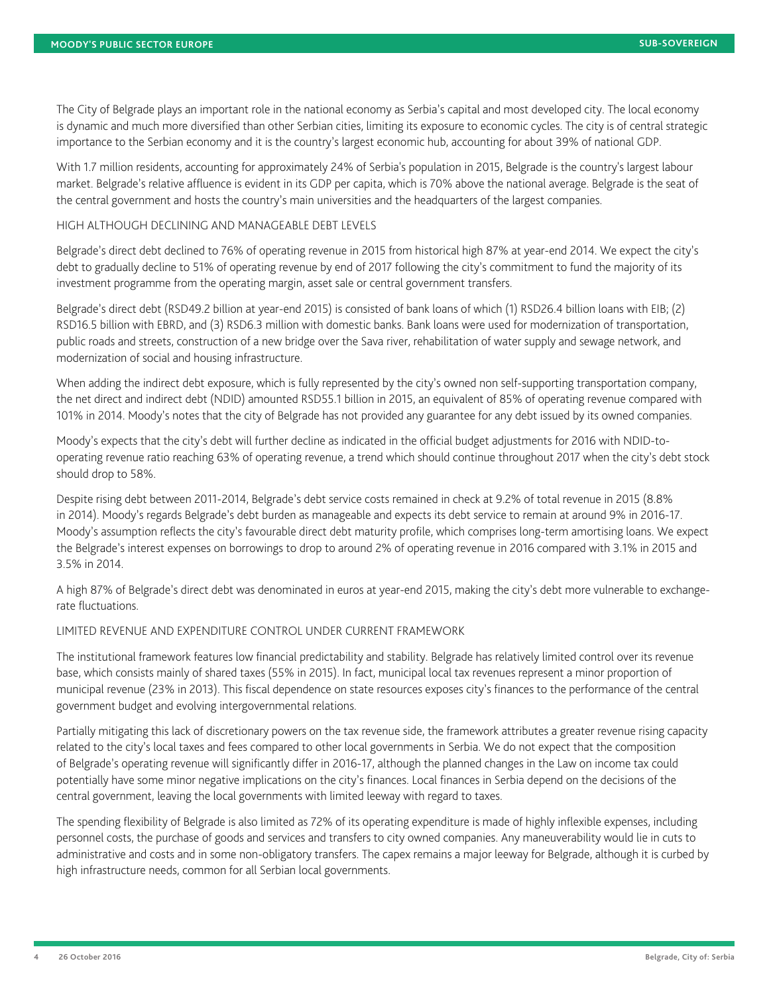The City of Belgrade plays an important role in the national economy as Serbia's capital and most developed city. The local economy is dynamic and much more diversified than other Serbian cities, limiting its exposure to economic cycles. The city is of central strategic importance to the Serbian economy and it is the country's largest economic hub, accounting for about 39% of national GDP.

With 1.7 million residents, accounting for approximately 24% of Serbia's population in 2015, Belgrade is the country's largest labour market. Belgrade's relative affluence is evident in its GDP per capita, which is 70% above the national average. Belgrade is the seat of the central government and hosts the country's main universities and the headquarters of the largest companies.

#### HIGH ALTHOUGH DECLINING AND MANAGEABLE DEBT LEVELS

Belgrade's direct debt declined to 76% of operating revenue in 2015 from historical high 87% at year-end 2014. We expect the city's debt to gradually decline to 51% of operating revenue by end of 2017 following the city's commitment to fund the majority of its investment programme from the operating margin, asset sale or central government transfers.

Belgrade's direct debt (RSD49.2 billion at year-end 2015) is consisted of bank loans of which (1) RSD26.4 billion loans with EIB; (2) RSD16.5 billion with EBRD, and (3) RSD6.3 million with domestic banks. Bank loans were used for modernization of transportation, public roads and streets, construction of a new bridge over the Sava river, rehabilitation of water supply and sewage network, and modernization of social and housing infrastructure.

When adding the indirect debt exposure, which is fully represented by the city's owned non self-supporting transportation company, the net direct and indirect debt (NDID) amounted RSD55.1 billion in 2015, an equivalent of 85% of operating revenue compared with 101% in 2014. Moody's notes that the city of Belgrade has not provided any guarantee for any debt issued by its owned companies.

Moody's expects that the city's debt will further decline as indicated in the official budget adjustments for 2016 with NDID-tooperating revenue ratio reaching 63% of operating revenue, a trend which should continue throughout 2017 when the city's debt stock should drop to 58%.

Despite rising debt between 2011-2014, Belgrade's debt service costs remained in check at 9.2% of total revenue in 2015 (8.8% in 2014). Moody's regards Belgrade's debt burden as manageable and expects its debt service to remain at around 9% in 2016-17. Moody's assumption reflects the city's favourable direct debt maturity profile, which comprises long-term amortising loans. We expect the Belgrade's interest expenses on borrowings to drop to around 2% of operating revenue in 2016 compared with 3.1% in 2015 and 3.5% in 2014.

A high 87% of Belgrade's direct debt was denominated in euros at year-end 2015, making the city's debt more vulnerable to exchangerate fluctuations.

### LIMITED REVENUE AND EXPENDITURE CONTROL UNDER CURRENT FRAMEWORK

The institutional framework features low financial predictability and stability. Belgrade has relatively limited control over its revenue base, which consists mainly of shared taxes (55% in 2015). In fact, municipal local tax revenues represent a minor proportion of municipal revenue (23% in 2013). This fiscal dependence on state resources exposes city's finances to the performance of the central government budget and evolving intergovernmental relations.

Partially mitigating this lack of discretionary powers on the tax revenue side, the framework attributes a greater revenue rising capacity related to the city's local taxes and fees compared to other local governments in Serbia. We do not expect that the composition of Belgrade's operating revenue will significantly differ in 2016-17, although the planned changes in the Law on income tax could potentially have some minor negative implications on the city's finances. Local finances in Serbia depend on the decisions of the central government, leaving the local governments with limited leeway with regard to taxes.

The spending flexibility of Belgrade is also limited as 72% of its operating expenditure is made of highly inflexible expenses, including personnel costs, the purchase of goods and services and transfers to city owned companies. Any maneuverability would lie in cuts to administrative and costs and in some non-obligatory transfers. The capex remains a major leeway for Belgrade, although it is curbed by high infrastructure needs, common for all Serbian local governments.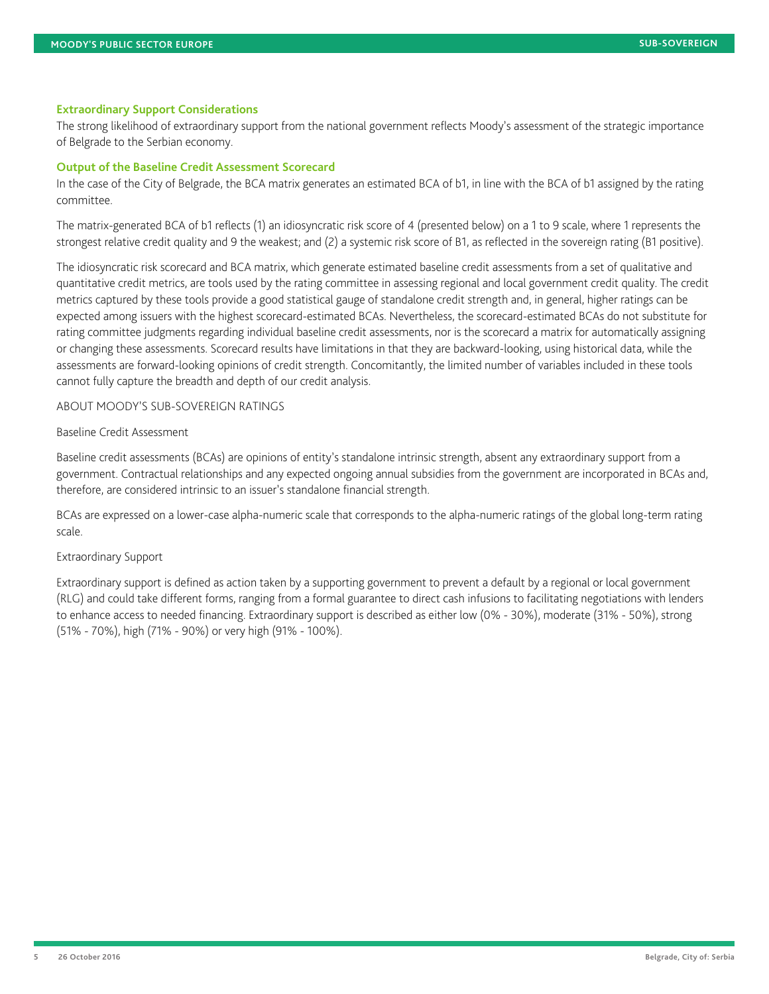#### **Extraordinary Support Considerations**

The strong likelihood of extraordinary support from the national government reflects Moody's assessment of the strategic importance of Belgrade to the Serbian economy.

#### **Output of the Baseline Credit Assessment Scorecard**

In the case of the City of Belgrade, the BCA matrix generates an estimated BCA of b1, in line with the BCA of b1 assigned by the rating committee.

The matrix-generated BCA of b1 reflects (1) an idiosyncratic risk score of 4 (presented below) on a 1 to 9 scale, where 1 represents the strongest relative credit quality and 9 the weakest; and (2) a systemic risk score of B1, as reflected in the sovereign rating (B1 positive).

The idiosyncratic risk scorecard and BCA matrix, which generate estimated baseline credit assessments from a set of qualitative and quantitative credit metrics, are tools used by the rating committee in assessing regional and local government credit quality. The credit metrics captured by these tools provide a good statistical gauge of standalone credit strength and, in general, higher ratings can be expected among issuers with the highest scorecard-estimated BCAs. Nevertheless, the scorecard-estimated BCAs do not substitute for rating committee judgments regarding individual baseline credit assessments, nor is the scorecard a matrix for automatically assigning or changing these assessments. Scorecard results have limitations in that they are backward-looking, using historical data, while the assessments are forward-looking opinions of credit strength. Concomitantly, the limited number of variables included in these tools cannot fully capture the breadth and depth of our credit analysis.

ABOUT MOODY'S SUB-SOVEREIGN RATINGS

#### Baseline Credit Assessment

Baseline credit assessments (BCAs) are opinions of entity's standalone intrinsic strength, absent any extraordinary support from a government. Contractual relationships and any expected ongoing annual subsidies from the government are incorporated in BCAs and, therefore, are considered intrinsic to an issuer's standalone financial strength.

BCAs are expressed on a lower-case alpha-numeric scale that corresponds to the alpha-numeric ratings of the global long-term rating scale.

#### Extraordinary Support

Extraordinary support is defined as action taken by a supporting government to prevent a default by a regional or local government (RLG) and could take different forms, ranging from a formal guarantee to direct cash infusions to facilitating negotiations with lenders to enhance access to needed financing. Extraordinary support is described as either low (0% - 30%), moderate (31% - 50%), strong (51% - 70%), high (71% - 90%) or very high (91% - 100%).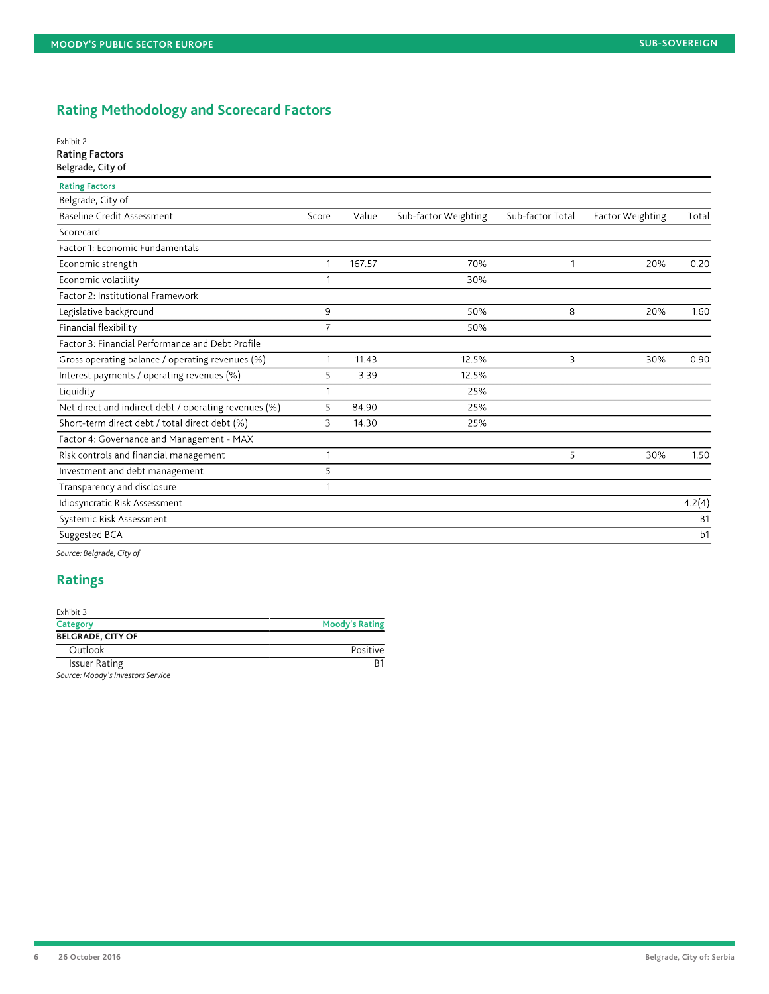# **Rating Methodology and Scorecard Factors**

#### Exhibit 2 Rating Factors

## Belgrade, City of

| <b>Rating Factors</b>                                 |                |        |                      |                  |                         |           |
|-------------------------------------------------------|----------------|--------|----------------------|------------------|-------------------------|-----------|
| Belgrade, City of                                     |                |        |                      |                  |                         |           |
| <b>Baseline Credit Assessment</b>                     | Score          | Value  | Sub-factor Weighting | Sub-factor Total | <b>Factor Weighting</b> | Total     |
| Scorecard                                             |                |        |                      |                  |                         |           |
| Factor 1: Economic Fundamentals                       |                |        |                      |                  |                         |           |
| Economic strength                                     | 1              | 167.57 | 70%                  | 1                | 20%                     | 0.20      |
| Economic volatility                                   |                |        | 30%                  |                  |                         |           |
| Factor 2: Institutional Framework                     |                |        |                      |                  |                         |           |
| Legislative background                                | 9              |        | 50%                  | 8                | 20%                     | 1.60      |
| <b>Financial flexibility</b>                          | $\overline{7}$ |        | 50%                  |                  |                         |           |
| Factor 3: Financial Performance and Debt Profile      |                |        |                      |                  |                         |           |
| Gross operating balance / operating revenues (%)      | 1              | 11.43  | 12.5%                | 3                | 30%                     | 0.90      |
| Interest payments / operating revenues (%)            | 5              | 3.39   | 12.5%                |                  |                         |           |
| Liquidity                                             |                |        | 25%                  |                  |                         |           |
| Net direct and indirect debt / operating revenues (%) | 5              | 84.90  | 25%                  |                  |                         |           |
| Short-term direct debt / total direct debt (%)        | 3              | 14.30  | 25%                  |                  |                         |           |
| Factor 4: Governance and Management - MAX             |                |        |                      |                  |                         |           |
| Risk controls and financial management                |                |        |                      | 5                | 30%                     | 1.50      |
| Investment and debt management                        | 5              |        |                      |                  |                         |           |
| Transparency and disclosure                           |                |        |                      |                  |                         |           |
| Idiosyncratic Risk Assessment                         |                |        |                      |                  |                         | 4.2(4)    |
| Systemic Risk Assessment                              |                |        |                      |                  |                         | <b>B1</b> |
| Suggested BCA                                         |                |        |                      |                  |                         | b1        |

*Source: Belgrade, City of*

## **Ratings**

| Exhibit 3                         |                       |
|-----------------------------------|-----------------------|
| Category                          | <b>Moody's Rating</b> |
| <b>BELGRADE, CITY OF</b>          |                       |
| Outlook                           | Positive              |
| <b>Issuer Rating</b>              | R1                    |
| Source: Moody's Investors Service |                       |